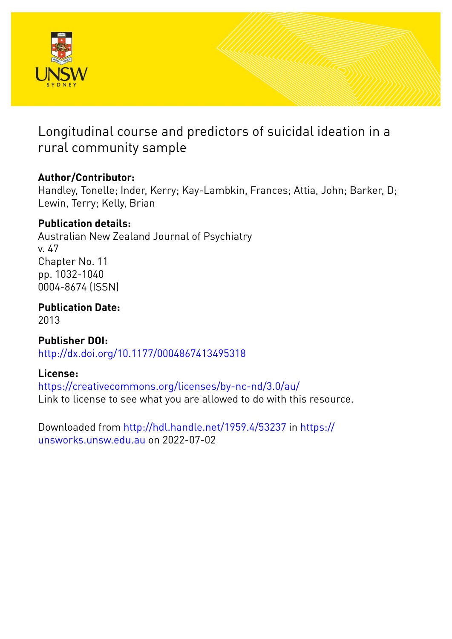

Longitudinal course and predictors of suicidal ideation in a rural community sample

# **Author/Contributor:**

Handley, Tonelle; Inder, Kerry; Kay-Lambkin, Frances; Attia, John; Barker, D; Lewin, Terry; Kelly, Brian

# **Publication details:**

Australian New Zealand Journal of Psychiatry v. 47 Chapter No. 11 pp. 1032-1040 0004-8674 (ISSN)

**Publication Date:** 2013

**Publisher DOI:** [http://dx.doi.org/10.1177/0004867413495318](http://dx.doi.org/http://dx.doi.org/10.1177/0004867413495318)

# **License:**

<https://creativecommons.org/licenses/by-nc-nd/3.0/au/> Link to license to see what you are allowed to do with this resource.

Downloaded from <http://hdl.handle.net/1959.4/53237> in [https://](https://unsworks.unsw.edu.au) [unsworks.unsw.edu.au](https://unsworks.unsw.edu.au) on 2022-07-02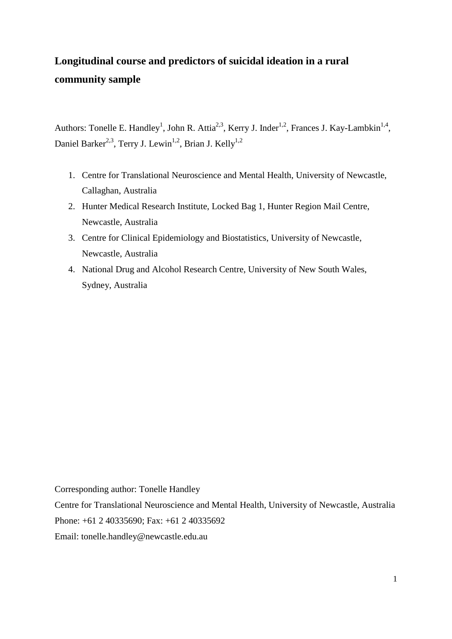# **Longitudinal course and predictors of suicidal ideation in a rural community sample**

Authors: Tonelle E. Handley<sup>1</sup>, John R. Attia<sup>2,3</sup>, Kerry J. Inder<sup>1,2</sup>, Frances J. Kay-Lambkin<sup>1,4</sup>, Daniel Barker<sup>2,3</sup>, Terry J. Lewin<sup>1,2</sup>, Brian J. Kelly<sup>1,2</sup>

- 1. Centre for Translational Neuroscience and Mental Health, University of Newcastle, Callaghan, Australia
- 2. Hunter Medical Research Institute, Locked Bag 1, Hunter Region Mail Centre, Newcastle, Australia
- 3. Centre for Clinical Epidemiology and Biostatistics, University of Newcastle, Newcastle, Australia
- 4. National Drug and Alcohol Research Centre, University of New South Wales, Sydney, Australia

Corresponding author: Tonelle Handley

Centre for Translational Neuroscience and Mental Health, University of Newcastle, Australia Phone: +61 2 40335690; Fax: +61 2 40335692

Email: tonelle.handley@newcastle.edu.au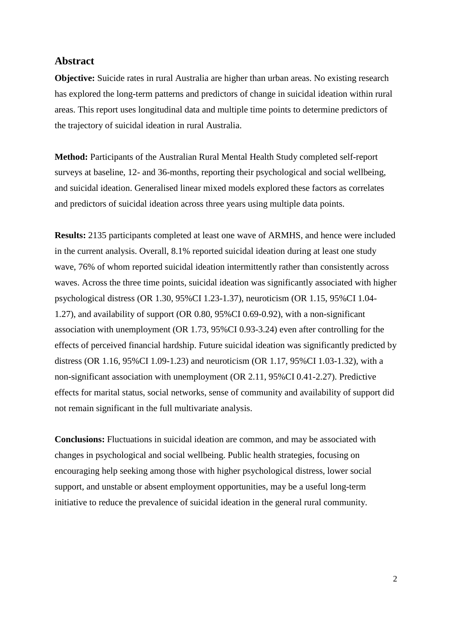#### **Abstract**

**Objective:** Suicide rates in rural Australia are higher than urban areas. No existing research has explored the long-term patterns and predictors of change in suicidal ideation within rural areas. This report uses longitudinal data and multiple time points to determine predictors of the trajectory of suicidal ideation in rural Australia.

**Method:** Participants of the Australian Rural Mental Health Study completed self-report surveys at baseline, 12- and 36-months, reporting their psychological and social wellbeing, and suicidal ideation. Generalised linear mixed models explored these factors as correlates and predictors of suicidal ideation across three years using multiple data points.

**Results:** 2135 participants completed at least one wave of ARMHS, and hence were included in the current analysis. Overall, 8.1% reported suicidal ideation during at least one study wave, 76% of whom reported suicidal ideation intermittently rather than consistently across waves. Across the three time points, suicidal ideation was significantly associated with higher psychological distress (OR 1.30, 95%CI 1.23-1.37), neuroticism (OR 1.15, 95%CI 1.04- 1.27), and availability of support (OR 0.80, 95%CI 0.69-0.92), with a non-significant association with unemployment (OR 1.73, 95%CI 0.93-3.24) even after controlling for the effects of perceived financial hardship. Future suicidal ideation was significantly predicted by distress (OR 1.16, 95%CI 1.09-1.23) and neuroticism (OR 1.17, 95%CI 1.03-1.32), with a non-significant association with unemployment (OR 2.11, 95%CI 0.41-2.27). Predictive effects for marital status, social networks, sense of community and availability of support did not remain significant in the full multivariate analysis.

**Conclusions:** Fluctuations in suicidal ideation are common, and may be associated with changes in psychological and social wellbeing. Public health strategies, focusing on encouraging help seeking among those with higher psychological distress, lower social support, and unstable or absent employment opportunities, may be a useful long-term initiative to reduce the prevalence of suicidal ideation in the general rural community.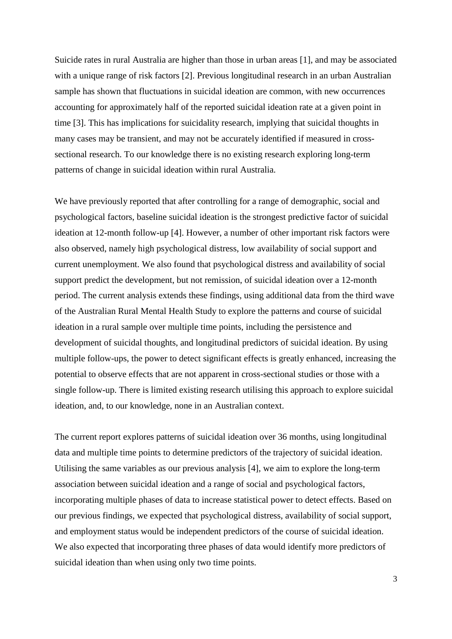Suicide rates in rural Australia are higher than those in urban areas [1], and may be associated with a unique range of risk factors [2]. Previous longitudinal research in an urban Australian sample has shown that fluctuations in suicidal ideation are common, with new occurrences accounting for approximately half of the reported suicidal ideation rate at a given point in time [3]. This has implications for suicidality research, implying that suicidal thoughts in many cases may be transient, and may not be accurately identified if measured in crosssectional research. To our knowledge there is no existing research exploring long-term patterns of change in suicidal ideation within rural Australia.

We have previously reported that after controlling for a range of demographic, social and psychological factors, baseline suicidal ideation is the strongest predictive factor of suicidal ideation at 12-month follow-up [4]. However, a number of other important risk factors were also observed, namely high psychological distress, low availability of social support and current unemployment. We also found that psychological distress and availability of social support predict the development, but not remission, of suicidal ideation over a 12-month period. The current analysis extends these findings, using additional data from the third wave of the Australian Rural Mental Health Study to explore the patterns and course of suicidal ideation in a rural sample over multiple time points, including the persistence and development of suicidal thoughts, and longitudinal predictors of suicidal ideation. By using multiple follow-ups, the power to detect significant effects is greatly enhanced, increasing the potential to observe effects that are not apparent in cross-sectional studies or those with a single follow-up. There is limited existing research utilising this approach to explore suicidal ideation, and, to our knowledge, none in an Australian context.

The current report explores patterns of suicidal ideation over 36 months, using longitudinal data and multiple time points to determine predictors of the trajectory of suicidal ideation. Utilising the same variables as our previous analysis [4], we aim to explore the long-term association between suicidal ideation and a range of social and psychological factors, incorporating multiple phases of data to increase statistical power to detect effects. Based on our previous findings, we expected that psychological distress, availability of social support, and employment status would be independent predictors of the course of suicidal ideation. We also expected that incorporating three phases of data would identify more predictors of suicidal ideation than when using only two time points.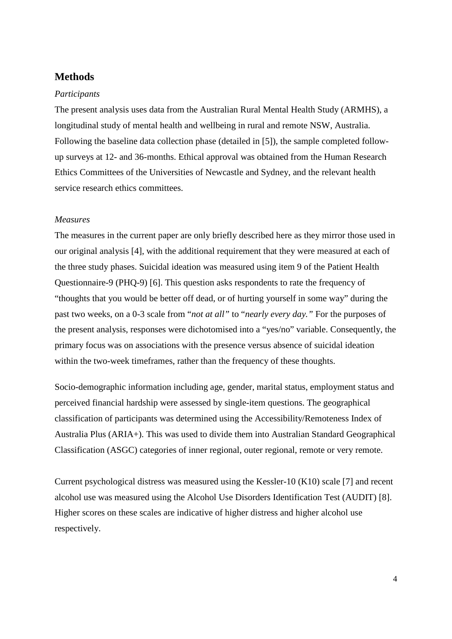### **Methods**

#### *Participants*

The present analysis uses data from the Australian Rural Mental Health Study (ARMHS), a longitudinal study of mental health and wellbeing in rural and remote NSW, Australia. Following the baseline data collection phase (detailed in [5]), the sample completed followup surveys at 12- and 36-months. Ethical approval was obtained from the Human Research Ethics Committees of the Universities of Newcastle and Sydney, and the relevant health service research ethics committees.

#### *Measures*

The measures in the current paper are only briefly described here as they mirror those used in our original analysis [4], with the additional requirement that they were measured at each of the three study phases. Suicidal ideation was measured using item 9 of the Patient Health Questionnaire-9 (PHQ-9) [6]. This question asks respondents to rate the frequency of "thoughts that you would be better off dead, or of hurting yourself in some way" during the past two weeks, on a 0-3 scale from "*not at all"* to "*nearly every day."* For the purposes of the present analysis, responses were dichotomised into a "yes/no" variable. Consequently, the primary focus was on associations with the presence versus absence of suicidal ideation within the two-week timeframes, rather than the frequency of these thoughts.

Socio-demographic information including age, gender, marital status, employment status and perceived financial hardship were assessed by single-item questions. The geographical classification of participants was determined using the Accessibility/Remoteness Index of Australia Plus (ARIA+). This was used to divide them into Australian Standard Geographical Classification (ASGC) categories of inner regional, outer regional, remote or very remote.

Current psychological distress was measured using the Kessler-10 (K10) scale [7] and recent alcohol use was measured using the Alcohol Use Disorders Identification Test (AUDIT) [8]. Higher scores on these scales are indicative of higher distress and higher alcohol use respectively.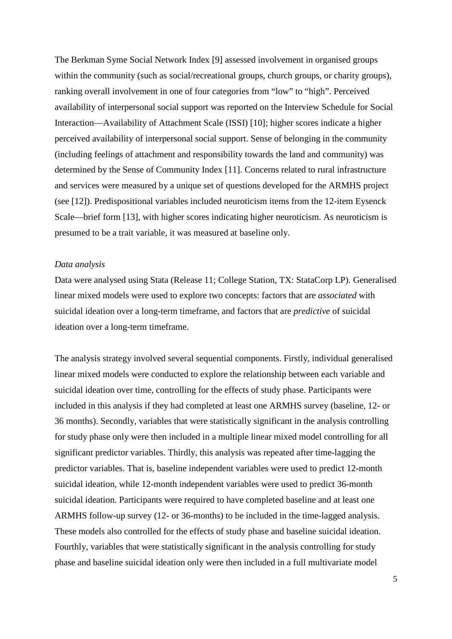The Berkman Syme Social Network Index [9] assessed involvement in organised groups within the community (such as social/recreational groups, church groups, or charity groups), ranking overall involvement in one of four categories from "low" to "high". Perceived availability of interpersonal social support was reported on the Interview Schedule for Social Interaction—Availability of Attachment Scale (ISSI) [10]; higher scores indicate a higher perceived availability of interpersonal social support. Sense of belonging in the community (including feelings of attachment and responsibility towards the land and community) was determined by the Sense of Community Index [11]. Concerns related to rural infrastructure and services were measured by a unique set of questions developed for the ARMHS project (see [12]). Predispositional variables included neuroticism items from the 12-item Eysenck Scale—brief form [13], with higher scores indicating higher neuroticism. As neuroticism is presumed to be a trait variable, it was measured at baseline only.

#### *Data analysis*

Data were analysed using Stata (Release 11; College Station, TX: StataCorp LP). Generalised linear mixed models were used to explore two concepts: factors that are *associated* with suicidal ideation over a long-term timeframe, and factors that are *predictive* of suicidal ideation over a long-term timeframe.

The analysis strategy involved several sequential components. Firstly, individual generalised linear mixed models were conducted to explore the relationship between each variable and suicidal ideation over time, controlling for the effects of study phase. Participants were included in this analysis if they had completed at least one ARMHS survey (baseline, 12- or 36 months). Secondly, variables that were statistically significant in the analysis controlling for study phase only were then included in a multiple linear mixed model controlling for all significant predictor variables. Thirdly, this analysis was repeated after time-lagging the predictor variables. That is, baseline independent variables were used to predict 12-month suicidal ideation, while 12-month independent variables were used to predict 36-month suicidal ideation. Participants were required to have completed baseline and at least one ARMHS follow-up survey (12- or 36-months) to be included in the time-lagged analysis. These models also controlled for the effects of study phase and baseline suicidal ideation. Fourthly, variables that were statistically significant in the analysis controlling for study phase and baseline suicidal ideation only were then included in a full multivariate model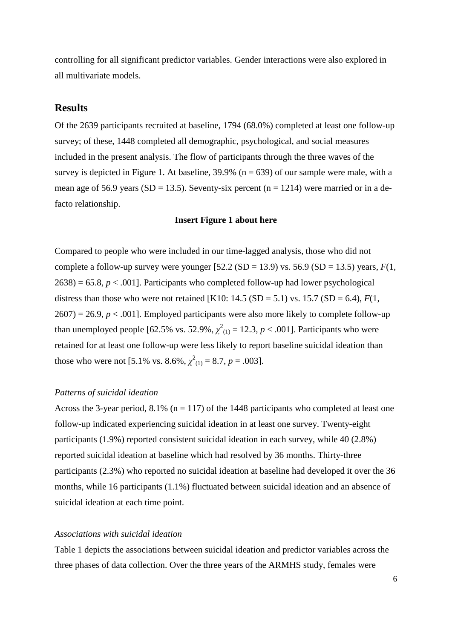controlling for all significant predictor variables. Gender interactions were also explored in all multivariate models.

### **Results**

Of the 2639 participants recruited at baseline, 1794 (68.0%) completed at least one follow-up survey; of these, 1448 completed all demographic, psychological, and social measures included in the present analysis. The flow of participants through the three waves of the survey is depicted in Figure 1. At baseline,  $39.9\%$  (n = 639) of our sample were male, with a mean age of 56.9 years (SD = 13.5). Seventy-six percent ( $n = 1214$ ) were married or in a defacto relationship.

#### **Insert Figure 1 about here**

Compared to people who were included in our time-lagged analysis, those who did not complete a follow-up survey were younger  $[52.2 (SD = 13.9)$  vs. 56.9  $(SD = 13.5)$  years,  $F(1,$  $2638$  = 65.8,  $p < .001$ ]. Participants who completed follow-up had lower psychological distress than those who were not retained [K10:  $14.5$  (SD = 5.1) vs.  $15.7$  (SD = 6.4),  $F(1, 1)$  $2607$  = 26.9,  $p < .001$ ]. Employed participants were also more likely to complete follow-up than unemployed people [62.5% vs. 52.9%,  $\chi^2_{(1)} = 12.3$ ,  $p < .001$ ]. Participants who were retained for at least one follow-up were less likely to report baseline suicidal ideation than those who were not [5.1% vs. 8.6%,  $\chi^2_{(1)} = 8.7$ ,  $p = .003$ ].

#### *Patterns of suicidal ideation*

Across the 3-year period, 8.1% ( $n = 117$ ) of the 1448 participants who completed at least one follow-up indicated experiencing suicidal ideation in at least one survey. Twenty-eight participants (1.9%) reported consistent suicidal ideation in each survey, while 40 (2.8%) reported suicidal ideation at baseline which had resolved by 36 months. Thirty-three participants (2.3%) who reported no suicidal ideation at baseline had developed it over the 36 months, while 16 participants (1.1%) fluctuated between suicidal ideation and an absence of suicidal ideation at each time point.

#### *Associations with suicidal ideation*

Table 1 depicts the associations between suicidal ideation and predictor variables across the three phases of data collection. Over the three years of the ARMHS study, females were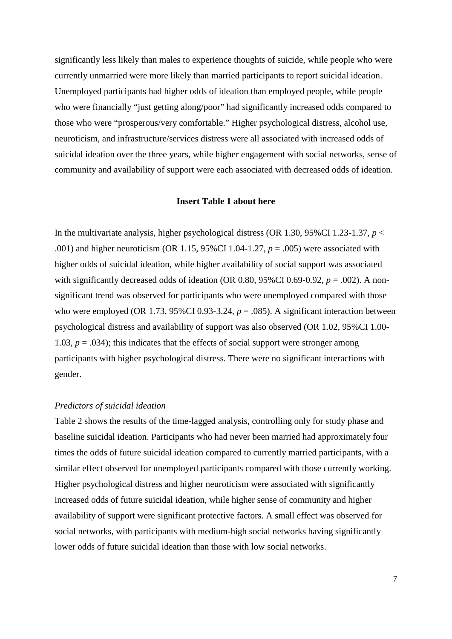significantly less likely than males to experience thoughts of suicide, while people who were currently unmarried were more likely than married participants to report suicidal ideation. Unemployed participants had higher odds of ideation than employed people, while people who were financially "just getting along/poor" had significantly increased odds compared to those who were "prosperous/very comfortable." Higher psychological distress, alcohol use, neuroticism, and infrastructure/services distress were all associated with increased odds of suicidal ideation over the three years, while higher engagement with social networks, sense of community and availability of support were each associated with decreased odds of ideation.

#### **Insert Table 1 about here**

In the multivariate analysis, higher psychological distress (OR 1.30, 95%CI 1.23-1.37,  $p <$ .001) and higher neuroticism (OR 1.15, 95%CI 1.04-1.27, *p* = .005) were associated with higher odds of suicidal ideation, while higher availability of social support was associated with significantly decreased odds of ideation (OR 0.80, 95%CI 0.69-0.92,  $p = .002$ ). A nonsignificant trend was observed for participants who were unemployed compared with those who were employed (OR 1.73,  $95\%$ CI 0.93-3.24,  $p = .085$ ). A significant interaction between psychological distress and availability of support was also observed (OR 1.02, 95%CI 1.00- 1.03,  $p = .034$ ; this indicates that the effects of social support were stronger among participants with higher psychological distress. There were no significant interactions with gender.

#### *Predictors of suicidal ideation*

Table 2 shows the results of the time-lagged analysis, controlling only for study phase and baseline suicidal ideation. Participants who had never been married had approximately four times the odds of future suicidal ideation compared to currently married participants, with a similar effect observed for unemployed participants compared with those currently working. Higher psychological distress and higher neuroticism were associated with significantly increased odds of future suicidal ideation, while higher sense of community and higher availability of support were significant protective factors. A small effect was observed for social networks, with participants with medium-high social networks having significantly lower odds of future suicidal ideation than those with low social networks.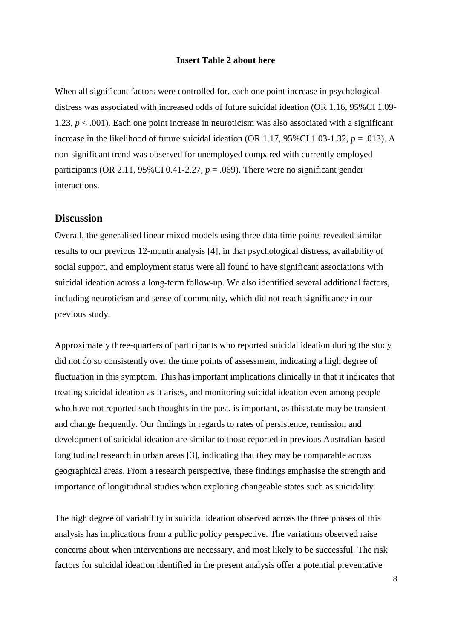#### **Insert Table 2 about here**

When all significant factors were controlled for, each one point increase in psychological distress was associated with increased odds of future suicidal ideation (OR 1.16, 95%CI 1.09- 1.23,  $p < .001$ ). Each one point increase in neuroticism was also associated with a significant increase in the likelihood of future suicidal ideation (OR 1.17,  $95\%$ CI 1.03-1.32,  $p = .013$ ). A non-significant trend was observed for unemployed compared with currently employed participants (OR 2.11,  $95\%$ CI 0.41-2.27,  $p = .069$ ). There were no significant gender interactions.

#### **Discussion**

Overall, the generalised linear mixed models using three data time points revealed similar results to our previous 12-month analysis [4], in that psychological distress, availability of social support, and employment status were all found to have significant associations with suicidal ideation across a long-term follow-up. We also identified several additional factors, including neuroticism and sense of community, which did not reach significance in our previous study.

Approximately three-quarters of participants who reported suicidal ideation during the study did not do so consistently over the time points of assessment, indicating a high degree of fluctuation in this symptom. This has important implications clinically in that it indicates that treating suicidal ideation as it arises, and monitoring suicidal ideation even among people who have not reported such thoughts in the past, is important, as this state may be transient and change frequently. Our findings in regards to rates of persistence, remission and development of suicidal ideation are similar to those reported in previous Australian-based longitudinal research in urban areas [3], indicating that they may be comparable across geographical areas. From a research perspective, these findings emphasise the strength and importance of longitudinal studies when exploring changeable states such as suicidality.

The high degree of variability in suicidal ideation observed across the three phases of this analysis has implications from a public policy perspective. The variations observed raise concerns about when interventions are necessary, and most likely to be successful. The risk factors for suicidal ideation identified in the present analysis offer a potential preventative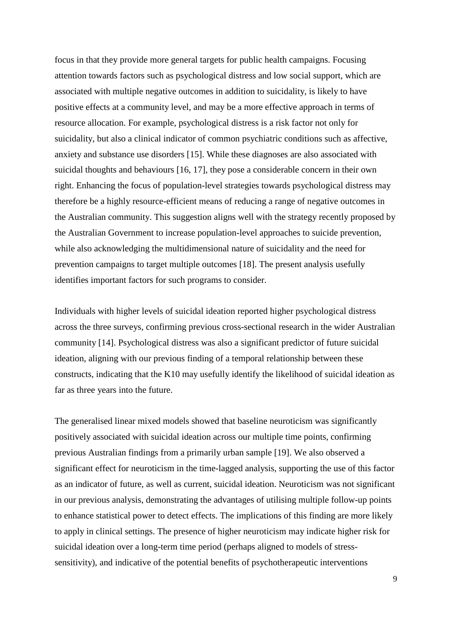focus in that they provide more general targets for public health campaigns. Focusing attention towards factors such as psychological distress and low social support, which are associated with multiple negative outcomes in addition to suicidality, is likely to have positive effects at a community level, and may be a more effective approach in terms of resource allocation. For example, psychological distress is a risk factor not only for suicidality, but also a clinical indicator of common psychiatric conditions such as affective, anxiety and substance use disorders [15]. While these diagnoses are also associated with suicidal thoughts and behaviours [16, 17], they pose a considerable concern in their own right. Enhancing the focus of population-level strategies towards psychological distress may therefore be a highly resource-efficient means of reducing a range of negative outcomes in the Australian community. This suggestion aligns well with the strategy recently proposed by the Australian Government to increase population-level approaches to suicide prevention, while also acknowledging the multidimensional nature of suicidality and the need for prevention campaigns to target multiple outcomes [18]. The present analysis usefully identifies important factors for such programs to consider.

Individuals with higher levels of suicidal ideation reported higher psychological distress across the three surveys, confirming previous cross-sectional research in the wider Australian community [14]. Psychological distress was also a significant predictor of future suicidal ideation, aligning with our previous finding of a temporal relationship between these constructs, indicating that the K10 may usefully identify the likelihood of suicidal ideation as far as three years into the future.

The generalised linear mixed models showed that baseline neuroticism was significantly positively associated with suicidal ideation across our multiple time points, confirming previous Australian findings from a primarily urban sample [19]. We also observed a significant effect for neuroticism in the time-lagged analysis, supporting the use of this factor as an indicator of future, as well as current, suicidal ideation. Neuroticism was not significant in our previous analysis, demonstrating the advantages of utilising multiple follow-up points to enhance statistical power to detect effects. The implications of this finding are more likely to apply in clinical settings. The presence of higher neuroticism may indicate higher risk for suicidal ideation over a long-term time period (perhaps aligned to models of stresssensitivity), and indicative of the potential benefits of psychotherapeutic interventions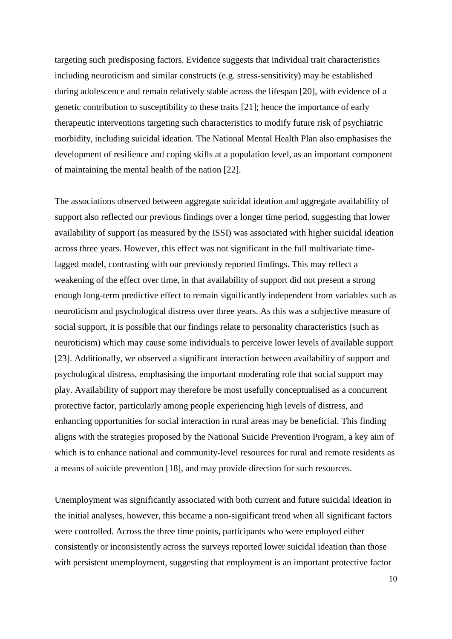targeting such predisposing factors. Evidence suggests that individual trait characteristics including neuroticism and similar constructs (e.g. stress-sensitivity) may be established during adolescence and remain relatively stable across the lifespan [20], with evidence of a genetic contribution to susceptibility to these traits [21]; hence the importance of early therapeutic interventions targeting such characteristics to modify future risk of psychiatric morbidity, including suicidal ideation. The National Mental Health Plan also emphasises the development of resilience and coping skills at a population level, as an important component of maintaining the mental health of the nation [22].

The associations observed between aggregate suicidal ideation and aggregate availability of support also reflected our previous findings over a longer time period, suggesting that lower availability of support (as measured by the ISSI) was associated with higher suicidal ideation across three years. However, this effect was not significant in the full multivariate timelagged model, contrasting with our previously reported findings. This may reflect a weakening of the effect over time, in that availability of support did not present a strong enough long-term predictive effect to remain significantly independent from variables such as neuroticism and psychological distress over three years. As this was a subjective measure of social support, it is possible that our findings relate to personality characteristics (such as neuroticism) which may cause some individuals to perceive lower levels of available support [23]. Additionally, we observed a significant interaction between availability of support and psychological distress, emphasising the important moderating role that social support may play. Availability of support may therefore be most usefully conceptualised as a concurrent protective factor, particularly among people experiencing high levels of distress, and enhancing opportunities for social interaction in rural areas may be beneficial. This finding aligns with the strategies proposed by the National Suicide Prevention Program, a key aim of which is to enhance national and community-level resources for rural and remote residents as a means of suicide prevention [18], and may provide direction for such resources.

Unemployment was significantly associated with both current and future suicidal ideation in the initial analyses, however, this became a non-significant trend when all significant factors were controlled. Across the three time points, participants who were employed either consistently or inconsistently across the surveys reported lower suicidal ideation than those with persistent unemployment, suggesting that employment is an important protective factor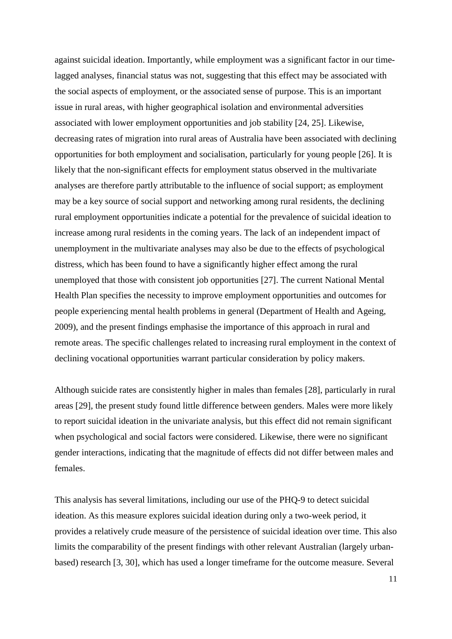against suicidal ideation. Importantly, while employment was a significant factor in our timelagged analyses, financial status was not, suggesting that this effect may be associated with the social aspects of employment, or the associated sense of purpose. This is an important issue in rural areas, with higher geographical isolation and environmental adversities associated with lower employment opportunities and job stability [24, 25]. Likewise, decreasing rates of migration into rural areas of Australia have been associated with declining opportunities for both employment and socialisation, particularly for young people [26]. It is likely that the non-significant effects for employment status observed in the multivariate analyses are therefore partly attributable to the influence of social support; as employment may be a key source of social support and networking among rural residents, the declining rural employment opportunities indicate a potential for the prevalence of suicidal ideation to increase among rural residents in the coming years. The lack of an independent impact of unemployment in the multivariate analyses may also be due to the effects of psychological distress, which has been found to have a significantly higher effect among the rural unemployed that those with consistent job opportunities [27]. The current National Mental Health Plan specifies the necessity to improve employment opportunities and outcomes for people experiencing mental health problems in general (Department of Health and Ageing, 2009), and the present findings emphasise the importance of this approach in rural and remote areas. The specific challenges related to increasing rural employment in the context of declining vocational opportunities warrant particular consideration by policy makers.

Although suicide rates are consistently higher in males than females [28], particularly in rural areas [29], the present study found little difference between genders. Males were more likely to report suicidal ideation in the univariate analysis, but this effect did not remain significant when psychological and social factors were considered. Likewise, there were no significant gender interactions, indicating that the magnitude of effects did not differ between males and females.

This analysis has several limitations, including our use of the PHQ-9 to detect suicidal ideation. As this measure explores suicidal ideation during only a two-week period, it provides a relatively crude measure of the persistence of suicidal ideation over time. This also limits the comparability of the present findings with other relevant Australian (largely urbanbased) research [3, 30], which has used a longer timeframe for the outcome measure. Several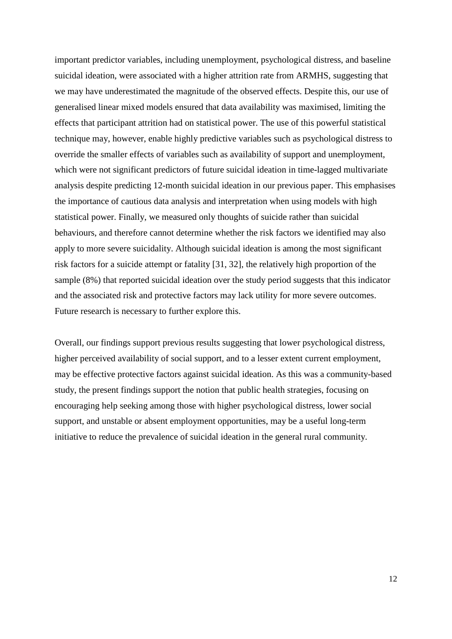important predictor variables, including unemployment, psychological distress, and baseline suicidal ideation, were associated with a higher attrition rate from ARMHS, suggesting that we may have underestimated the magnitude of the observed effects. Despite this, our use of generalised linear mixed models ensured that data availability was maximised, limiting the effects that participant attrition had on statistical power. The use of this powerful statistical technique may, however, enable highly predictive variables such as psychological distress to override the smaller effects of variables such as availability of support and unemployment, which were not significant predictors of future suicidal ideation in time-lagged multivariate analysis despite predicting 12-month suicidal ideation in our previous paper. This emphasises the importance of cautious data analysis and interpretation when using models with high statistical power. Finally, we measured only thoughts of suicide rather than suicidal behaviours, and therefore cannot determine whether the risk factors we identified may also apply to more severe suicidality. Although suicidal ideation is among the most significant risk factors for a suicide attempt or fatality [31, 32], the relatively high proportion of the sample (8%) that reported suicidal ideation over the study period suggests that this indicator and the associated risk and protective factors may lack utility for more severe outcomes. Future research is necessary to further explore this.

Overall, our findings support previous results suggesting that lower psychological distress, higher perceived availability of social support, and to a lesser extent current employment, may be effective protective factors against suicidal ideation. As this was a community-based study, the present findings support the notion that public health strategies, focusing on encouraging help seeking among those with higher psychological distress, lower social support, and unstable or absent employment opportunities, may be a useful long-term initiative to reduce the prevalence of suicidal ideation in the general rural community.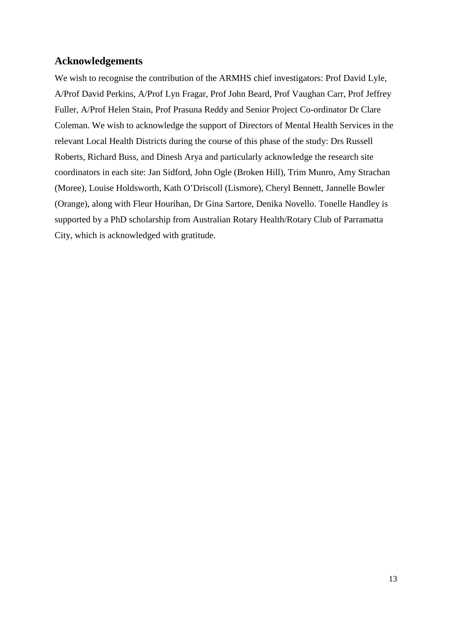## **Acknowledgements**

We wish to recognise the contribution of the ARMHS chief investigators: Prof David Lyle, A/Prof David Perkins, A/Prof Lyn Fragar, Prof John Beard, Prof Vaughan Carr, Prof Jeffrey Fuller, A/Prof Helen Stain, Prof Prasuna Reddy and Senior Project Co-ordinator Dr Clare Coleman. We wish to acknowledge the support of Directors of Mental Health Services in the relevant Local Health Districts during the course of this phase of the study: Drs Russell Roberts, Richard Buss, and Dinesh Arya and particularly acknowledge the research site coordinators in each site: Jan Sidford, John Ogle (Broken Hill), Trim Munro, Amy Strachan (Moree), Louise Holdsworth, Kath O'Driscoll (Lismore), Cheryl Bennett, Jannelle Bowler (Orange), along with Fleur Hourihan, Dr Gina Sartore, Denika Novello. Tonelle Handley is supported by a PhD scholarship from Australian Rotary Health/Rotary Club of Parramatta City, which is acknowledged with gratitude.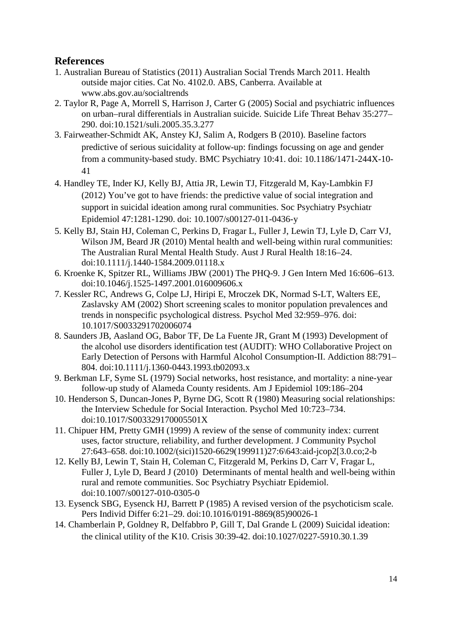## **References**

- 1. Australian Bureau of Statistics (2011) Australian Social Trends March 2011. Health outside major cities. Cat No. 4102.0. ABS, Canberra. Available at www.abs.gov.au/socialtrends
- 2. Taylor R, Page A, Morrell S, Harrison J, Carter G (2005) Social and psychiatric influences on urban–rural differentials in Australian suicide. Suicide Life Threat Behav 35:277– 290. doi:10.1521/suli.2005.35.3.277
- 3. Fairweather-Schmidt AK, Anstey KJ, Salim A, Rodgers B (2010). Baseline factors predictive of serious suicidality at follow-up: findings focussing on age and gender from a community-based study. BMC Psychiatry 10:41. doi: 10.1186/1471-244X-10- 41
- 4. Handley TE, Inder KJ, Kelly BJ, Attia JR, Lewin TJ, Fitzgerald M, Kay-Lambkin FJ (2012) You've got to have friends: the predictive value of social integration and support in suicidal ideation among rural communities. Soc Psychiatry Psychiatr Epidemiol 47:1281-1290. doi: 10.1007/s00127-011-0436-y
- 5. Kelly BJ, Stain HJ, Coleman C, Perkins D, Fragar L, Fuller J, Lewin TJ, Lyle D, Carr VJ, Wilson JM, Beard JR (2010) Mental health and well-being within rural communities: The Australian Rural Mental Health Study. Aust J Rural Health 18:16–24. doi:10.1111/j.1440-1584.2009.01118.x
- 6. Kroenke K, Spitzer RL, Williams JBW (2001) The PHQ-9. J Gen Intern Med 16:606–613. doi:10.1046/j.1525-1497.2001.016009606.x
- 7. Kessler RC, Andrews G, Colpe LJ, Hiripi E, Mroczek DK, Normad S-LT, Walters EE, Zaslavsky AM (2002) Short screening scales to monitor population prevalences and trends in nonspecific psychological distress. Psychol Med 32:959–976. doi: 10.1017/S0033291702006074
- 8. Saunders JB, Aasland OG, Babor TF, De La Fuente JR, Grant M (1993) Development of the alcohol use disorders identification test (AUDIT): WHO Collaborative Project on Early Detection of Persons with Harmful Alcohol Consumption-II. Addiction 88:791– 804. doi:10.1111/j.1360-0443.1993.tb02093.x
- 9. Berkman LF, Syme SL (1979) Social networks, host resistance, and mortality: a nine-year follow-up study of Alameda County residents. Am J Epidemiol 109:186–204
- 10. Henderson S, Duncan-Jones P, Byrne DG, Scott R (1980) Measuring social relationships: the Interview Schedule for Social Interaction. Psychol Med 10:723–734. doi:10.1017/S003329170005501X
- 11. Chipuer HM, Pretty GMH (1999) A review of the sense of community index: current uses, factor structure, reliability, and further development. J Community Psychol 27:643–658. doi:10.1002/(sici)1520-6629(199911)27:6\643:aid-jcop2[3.0.co;2-b
- 12. Kelly BJ, Lewin T, Stain H, Coleman C, Fitzgerald M, Perkins D, Carr V, Fragar L, Fuller J, Lyle D, Beard J (2010) Determinants of mental health and well-being within rural and remote communities. Soc Psychiatry Psychiatr Epidemiol. doi:10.1007/s00127-010-0305-0
- 13. Eysenck SBG, Eysenck HJ, Barrett P (1985) A revised version of the psychoticism scale. Pers Individ Differ 6:21–29. doi:10.1016/0191-8869(85)90026-1
- 14. Chamberlain P, Goldney R, Delfabbro P, Gill T, Dal Grande L (2009) Suicidal ideation: the clinical utility of the K10. Crisis 30:39-42. doi:10.1027/0227-5910.30.1.39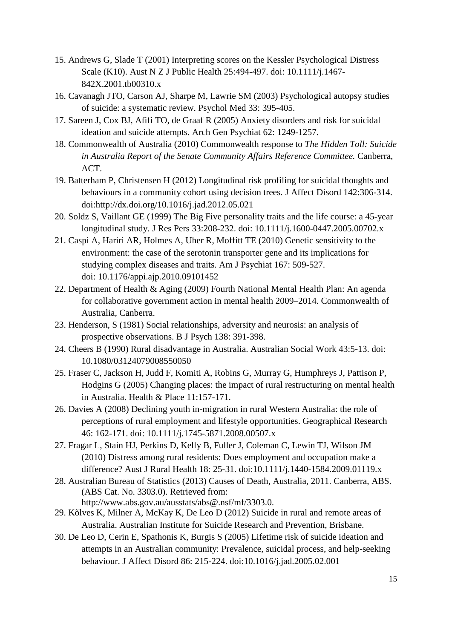- 15. Andrews G, Slade T (2001) Interpreting scores on the Kessler Psychological Distress Scale (K10). Aust N Z J Public Health 25:494-497. doi: 10.1111/j.1467- 842X.2001.tb00310.x
- 16. Cavanagh JTO, Carson AJ, Sharpe M, Lawrie SM (2003) Psychological autopsy studies of suicide: a systematic review. Psychol Med 33: 395-405.
- 17. Sareen J, Cox BJ, Afifi TO, de Graaf R (2005) Anxiety disorders and risk for suicidal ideation and suicide attempts. Arch Gen Psychiat 62: 1249-1257.
- 18. Commonwealth of Australia (2010) Commonwealth response to *The Hidden Toll: Suicide in Australia Report of the Senate Community Affairs Reference Committee.* Canberra, ACT.
- 19. Batterham P, Christensen H (2012) Longitudinal risk profiling for suicidal thoughts and behaviours in a community cohort using decision trees. J Affect Disord 142:306-314. doi:http://dx.doi.org/10.1016/j.jad.2012.05.021
- 20. Soldz S, Vaillant GE (1999) The Big Five personality traits and the life course: a 45-year longitudinal study. J Res Pers 33:208-232. doi: 10.1111/j.1600-0447.2005.00702.x
- 21. Caspi A, Hariri AR, Holmes A, Uher R, Moffitt TE (2010) Genetic sensitivity to the environment: the case of the serotonin transporter gene and its implications for studying complex diseases and traits. Am J Psychiat 167: 509-527. doi: 10.1176/appi.ajp.2010.09101452
- 22. Department of Health & Aging (2009) Fourth National Mental Health Plan: An agenda for collaborative government action in mental health 2009–2014. Commonwealth of Australia, Canberra.
- 23. Henderson, S (1981) Social relationships, adversity and neurosis: an analysis of prospective observations. B J Psych 138: 391-398.
- 24. Cheers B (1990) Rural disadvantage in Australia. Australian Social Work 43:5-13. doi: 10.1080/03124079008550050
- 25. Fraser C, Jackson H, Judd F, Komiti A, Robins G, Murray G, Humphreys J, Pattison P, Hodgins G (2005) Changing places: the impact of rural restructuring on mental health in Australia. Health & Place 11:157-171.
- 26. Davies A (2008) Declining youth in-migration in rural Western Australia: the role of perceptions of rural employment and lifestyle opportunities. Geographical Research 46: 162-171. doi: 10.1111/j.1745-5871.2008.00507.x
- 27. Fragar L, Stain HJ, Perkins D, Kelly B, Fuller J, Coleman C, Lewin TJ, Wilson JM (2010) Distress among rural residents: Does employment and occupation make a difference? Aust J Rural Health 18: 25-31. doi:10.1111/j.1440-1584.2009.01119.x
- 28. Australian Bureau of Statistics (2013) Causes of Death, Australia, 2011. Canberra, ABS. (ABS Cat. No. 3303.0). Retrieved from: http://www.abs.gov.au/ausstats/abs@.nsf/mf/3303.0.
- 29. Kõlves K, Milner A, McKay K, De Leo D (2012) Suicide in rural and remote areas of Australia. Australian Institute for Suicide Research and Prevention, Brisbane.
- 30. De Leo D, Cerin E, Spathonis K, Burgis S (2005) Lifetime risk of suicide ideation and attempts in an Australian community: Prevalence, suicidal process, and help-seeking behaviour. J Affect Disord 86: 215-224. doi:10.1016/j.jad.2005.02.001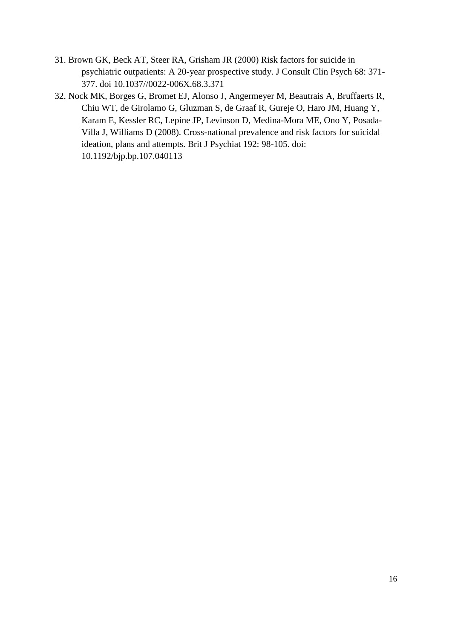- 31. Brown GK, Beck AT, Steer RA, Grisham JR (2000) Risk factors for suicide in psychiatric outpatients: A 20-year prospective study. J Consult Clin Psych 68: 371- 377. doi 10.1037//0022-006X.68.3.371
- 32. Nock MK, Borges G, Bromet EJ, Alonso J, Angermeyer M, Beautrais A, Bruffaerts R, Chiu WT, de Girolamo G, Gluzman S, de Graaf R, Gureje O, Haro JM, Huang Y, Karam E, Kessler RC, Lepine JP, Levinson D, Medina-Mora ME, Ono Y, Posada-Villa J, Williams D (2008). Cross-national prevalence and risk factors for suicidal ideation, plans and attempts. Brit J Psychiat 192: 98-105. doi: 10.1192/bjp.bp.107.040113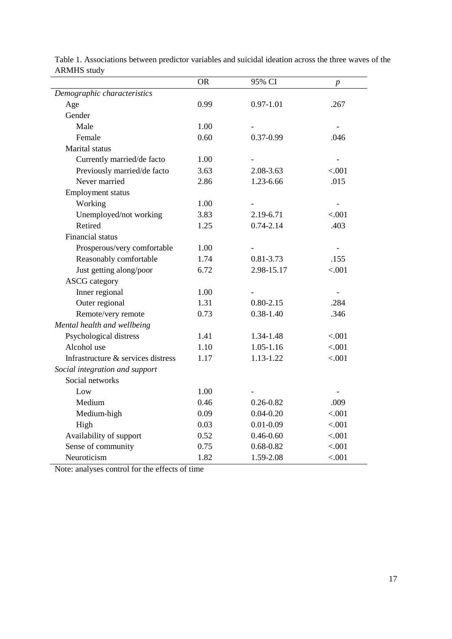|                                    | <b>OR</b> | 95% CI        | $\boldsymbol{p}$         |
|------------------------------------|-----------|---------------|--------------------------|
| Demographic characteristics        |           |               |                          |
| Age                                | 0.99      | $0.97 - 1.01$ | .267                     |
| Gender                             |           |               |                          |
| Male                               | 1.00      |               |                          |
| Female                             | 0.60      | $0.37 - 0.99$ | .046                     |
| Marital status                     |           |               |                          |
| Currently married/de facto         | 1.00      |               |                          |
| Previously married/de facto        | 3.63      | 2.08-3.63     | < .001                   |
| Never married                      | 2.86      | 1.23-6.66     | .015                     |
| <b>Employment status</b>           |           |               |                          |
| Working                            | 1.00      |               |                          |
| Unemployed/not working             | 3.83      | 2.19-6.71     | < .001                   |
| Retired                            | 1.25      | $0.74 - 2.14$ | .403                     |
| Financial status                   |           |               |                          |
| Prosperous/very comfortable        | 1.00      |               | $\overline{\phantom{a}}$ |
| Reasonably comfortable             | 1.74      | $0.81 - 3.73$ | .155                     |
| Just getting along/poor            | 6.72      | 2.98-15.17    | < .001                   |
| <b>ASCG</b> category               |           |               |                          |
| Inner regional                     | 1.00      |               | $\overline{\phantom{a}}$ |
| Outer regional                     | 1.31      | $0.80 - 2.15$ | .284                     |
| Remote/very remote                 | 0.73      | $0.38 - 1.40$ | .346                     |
| Mental health and wellbeing        |           |               |                          |
| Psychological distress             | 1.41      | 1.34-1.48     | < .001                   |
| Alcohol use                        | 1.10      | 1.05-1.16     | < .001                   |
| Infrastructure & services distress | 1.17      | 1.13-1.22     | < .001                   |
| Social integration and support     |           |               |                          |
| Social networks                    |           |               |                          |
| Low                                | 1.00      |               |                          |
| Medium                             | 0.46      | $0.26 - 0.82$ | .009                     |
| Medium-high                        | 0.09      | $0.04 - 0.20$ | < .001                   |
| High                               | 0.03      | $0.01 - 0.09$ | < .001                   |
| Availability of support            | 0.52      | $0.46 - 0.60$ | < 0.001                  |
| Sense of community                 | 0.75      | $0.68 - 0.82$ | < 0.001                  |
| Neuroticism                        | 1.82      | 1.59-2.08     | < .001                   |

Table 1. Associations between predictor variables and suicidal ideation across the three waves of the ARMHS study

Note: analyses control for the effects of time